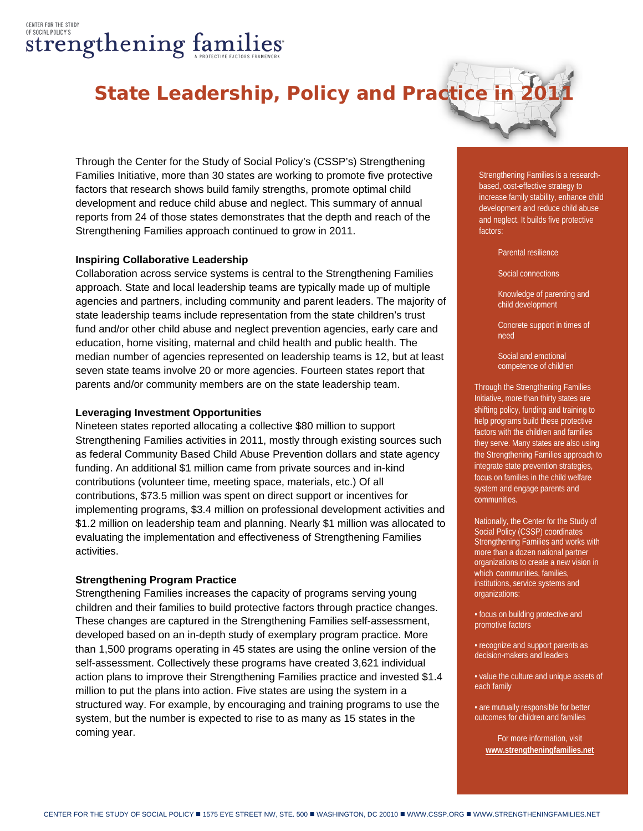# CENTER FOR THE STUDY OF SOCIAL POLICY'S strengthening families

# **State Leadership, Policy and Practice in 2011**

Through the Center for the Study of Social Policy's (CSSP's) Strengthening Families Initiative, more than 30 states are working to promote five protective factors that research shows build family strengths, promote optimal child development and reduce child abuse and neglect. This summary of annual reports from 24 of those states demonstrates that the depth and reach of the Strengthening Families approach continued to grow in 2011.

#### **Inspiring Collaborative Leadership**

Collaboration across service systems is central to the Strengthening Families approach. State and local leadership teams are typically made up of multiple agencies and partners, including community and parent leaders. The majority of state leadership teams include representation from the state children's trust fund and/or other child abuse and neglect prevention agencies, early care and education, home visiting, maternal and child health and public health. The median number of agencies represented on leadership teams is 12, but at least seven state teams involve 20 or more agencies. Fourteen states report that parents and/or community members are on the state leadership team.

#### **Leveraging Investment Opportunities**

Nineteen states reported allocating a collective \$80 million to support Strengthening Families activities in 2011, mostly through existing sources such as federal Community Based Child Abuse Prevention dollars and state agency funding. An additional \$1 million came from private sources and in-kind contributions (volunteer time, meeting space, materials, etc.) Of all contributions, \$73.5 million was spent on direct support or incentives for implementing programs, \$3.4 million on professional development activities and \$1.2 million on leadership team and planning. Nearly \$1 million was allocated to evaluating the implementation and effectiveness of Strengthening Families activities.

#### **Strengthening Program Practice**

Strengthening Families increases the capacity of programs serving young children and their families to build protective factors through practice changes. These changes are captured in the Strengthening Families self-assessment, developed based on an in-depth study of exemplary program practice. More than 1,500 programs operating in 45 states are using the online version of the self-assessment. Collectively these programs have created 3,621 individual action plans to improve their Strengthening Families practice and invested \$1.4 million to put the plans into action. Five states are using the system in a structured way. For example, by encouraging and training programs to use the system, but the number is expected to rise to as many as 15 states in the coming year.

Strengthening Families is a researchbased, cost-effective strategy to increase family stability, enhance child development and reduce child abuse and neglect. It builds five protective factors:

Parental resilience

Social connections

Knowledge of parenting and child development

Concrete support in times of need

Social and emotional competence of children

Through the Strengthening Families Initiative, more than thirty states are shifting policy, funding and training to help programs build these protective factors with the children and families they serve. Many states are also using the Strengthening Families approach to integrate state prevention strategies, focus on families in the child welfare system and engage parents and communities.

Nationally, the Center for the Study of Social Policy (CSSP) coordinates Strengthening Families and works with more than a dozen national partner organizations to create a new vision in which communities, families, institutions, service systems and organizations:

• focus on building protective and promotive factors

• recognize and support parents as decision-makers and leaders

• value the culture and unique assets of each family

• are mutually responsible for better outcomes for children and families

> For more information, visit **[www.strengtheningfamilies.net](http://www.strengtheningfamilies.net/)**